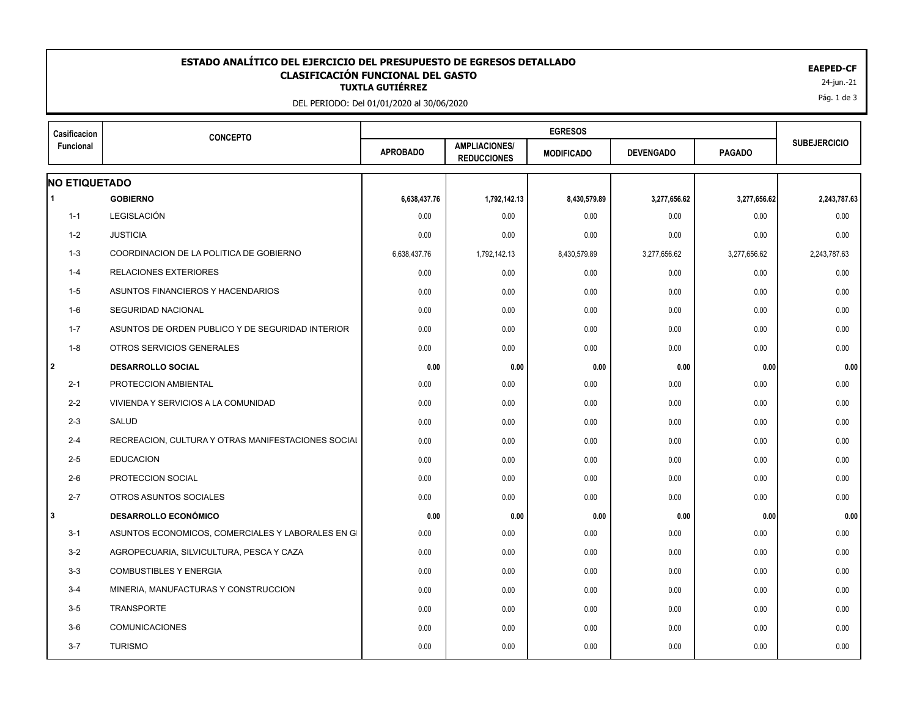## 24-jun.-21 **TUXTLA GUTIÉRREZ ESTADO ANALÍTICO DEL EJERCICIO DEL PRESUPUESTO DE EGRESOS DETALLADO EAEPED-CF CLASIFICACIÓN FUNCIONAL DEL GASTO**

DEL PERIODO: Del 01/01/2020 al 30/06/2020

| Casificacion         | <b>CONCEPTO</b>                                    |                 |                                            |                   |                  |               |                     |
|----------------------|----------------------------------------------------|-----------------|--------------------------------------------|-------------------|------------------|---------------|---------------------|
| Funcional            |                                                    | <b>APROBADO</b> | <b>AMPLIACIONES/</b><br><b>REDUCCIONES</b> | <b>MODIFICADO</b> | <b>DEVENGADO</b> | <b>PAGADO</b> | <b>SUBEJERCICIO</b> |
| <b>NO ETIQUETADO</b> |                                                    |                 |                                            |                   |                  |               |                     |
| $\overline{1}$       | <b>GOBIERNO</b>                                    | 6,638,437.76    | 1,792,142.13                               | 8,430,579.89      | 3,277,656.62     | 3,277,656.62  | 2,243,787.63        |
| $1 - 1$              | LEGISLACIÓN                                        | 0.00            | 0.00                                       | 0.00              | 0.00             | 0.00          | 0.00                |
| $1 - 2$              | <b>JUSTICIA</b>                                    | 0.00            | 0.00                                       | 0.00              | 0.00             | 0.00          | 0.00                |
| $1 - 3$              | COORDINACION DE LA POLITICA DE GOBIERNO            | 6,638,437.76    | 1,792,142.13                               | 8,430,579.89      | 3,277,656.62     | 3,277,656.62  | 2,243,787.63        |
| $1 - 4$              | <b>RELACIONES EXTERIORES</b>                       | 0.00            | 0.00                                       | 0.00              | 0.00             | 0.00          | 0.00                |
| $1 - 5$              | ASUNTOS FINANCIEROS Y HACENDARIOS                  | 0.00            | 0.00                                       | 0.00              | 0.00             | 0.00          | 0.00                |
| $1-6$                | SEGURIDAD NACIONAL                                 | 0.00            | 0.00                                       | 0.00              | 0.00             | 0.00          | 0.00                |
| $1 - 7$              | ASUNTOS DE ORDEN PUBLICO Y DE SEGURIDAD INTERIOR   | 0.00            | 0.00                                       | 0.00              | 0.00             | 0.00          | 0.00                |
| $1 - 8$              | OTROS SERVICIOS GENERALES                          | 0.00            | 0.00                                       | 0.00              | 0.00             | 0.00          | 0.00                |
| 2                    | <b>DESARROLLO SOCIAL</b>                           | 0.00            | 0.00                                       | 0.00              | 0.00             | 0.00          | 0.00                |
| $2 - 1$              | PROTECCION AMBIENTAL                               | 0.00            | 0.00                                       | 0.00              | 0.00             | 0.00          | 0.00                |
| $2 - 2$              | VIVIENDA Y SERVICIOS A LA COMUNIDAD                | 0.00            | 0.00                                       | 0.00              | 0.00             | 0.00          | 0.00                |
| $2 - 3$              | <b>SALUD</b>                                       | 0.00            | 0.00                                       | 0.00              | 0.00             | 0.00          | 0.00                |
| $2 - 4$              | RECREACION, CULTURA Y OTRAS MANIFESTACIONES SOCIAL | 0.00            | 0.00                                       | 0.00              | 0.00             | 0.00          | 0.00                |
| $2 - 5$              | <b>EDUCACION</b>                                   | 0.00            | 0.00                                       | 0.00              | 0.00             | 0.00          | 0.00                |
| $2 - 6$              | PROTECCION SOCIAL                                  | 0.00            | 0.00                                       | 0.00              | 0.00             | 0.00          | 0.00                |
| $2 - 7$              | OTROS ASUNTOS SOCIALES                             | 0.00            | 0.00                                       | 0.00              | 0.00             | 0.00          | 0.00                |
| 3                    | <b>DESARROLLO ECONÓMICO</b>                        | 0.00            | 0.00                                       | 0.00              | 0.00             | 0.00          | 0.00                |
| $3 - 1$              | ASUNTOS ECONOMICOS, COMERCIALES Y LABORALES EN GI  | 0.00            | 0.00                                       | 0.00              | 0.00             | 0.00          | 0.00                |
| $3 - 2$              | AGROPECUARIA, SILVICULTURA, PESCA Y CAZA           | 0.00            | 0.00                                       | 0.00              | 0.00             | 0.00          | 0.00                |
| $3-3$                | <b>COMBUSTIBLES Y ENERGIA</b>                      | 0.00            | 0.00                                       | 0.00              | 0.00             | 0.00          | 0.00                |
| $3-4$                | MINERIA, MANUFACTURAS Y CONSTRUCCION               | 0.00            | 0.00                                       | 0.00              | 0.00             | 0.00          | 0.00                |
| $3 - 5$              | <b>TRANSPORTE</b>                                  | 0.00            | 0.00                                       | 0.00              | 0.00             | 0.00          | 0.00                |
| $3-6$                | <b>COMUNICACIONES</b>                              | 0.00            | 0.00                                       | 0.00              | 0.00             | 0.00          | 0.00                |
| $3 - 7$              | <b>TURISMO</b>                                     | 0.00            | 0.00                                       | 0.00              | 0.00             | 0.00          | 0.00                |
|                      |                                                    |                 |                                            |                   |                  |               |                     |

Pág. 1 de 3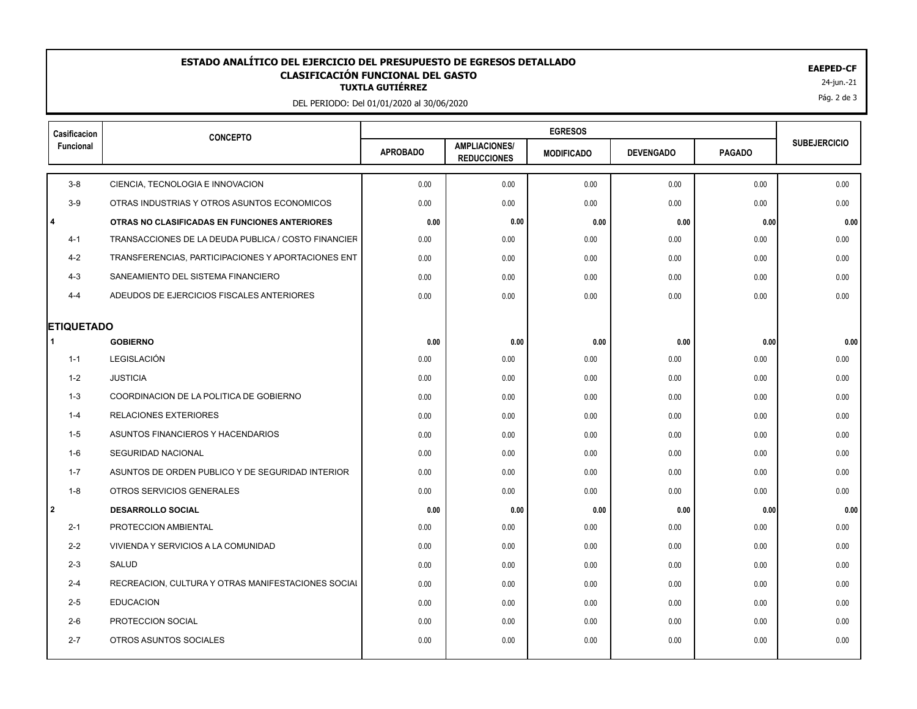## 24-jun.-21 **TUXTLA GUTIÉRREZ ESTADO ANALÍTICO DEL EJERCICIO DEL PRESUPUESTO DE EGRESOS DETALLADO EAEPED-CF CLASIFICACIÓN FUNCIONAL DEL GASTO**

DEL PERIODO: Del 01/01/2020 al 30/06/2020

| Casificacion           | <b>CONCEPTO</b>                                     |                 |                                            |                   |                  |               |                     |
|------------------------|-----------------------------------------------------|-----------------|--------------------------------------------|-------------------|------------------|---------------|---------------------|
| <b>Funcional</b>       |                                                     | <b>APROBADO</b> | <b>AMPLIACIONES/</b><br><b>REDUCCIONES</b> | <b>MODIFICADO</b> | <b>DEVENGADO</b> | <b>PAGADO</b> | <b>SUBEJERCICIO</b> |
| $3-8$                  | CIENCIA, TECNOLOGIA E INNOVACION                    | 0.00            | 0.00                                       | 0.00              | 0.00             | 0.00          | 0.00                |
| $3-9$                  | OTRAS INDUSTRIAS Y OTROS ASUNTOS ECONOMICOS         | 0.00            | 0.00                                       | 0.00              | 0.00             | 0.00          | 0.00                |
| 4                      | OTRAS NO CLASIFICADAS EN FUNCIONES ANTERIORES       | 0.00            | 0.00                                       | 0.00              | 0.00             | 0.00          | 0.00                |
| $4 - 1$                | TRANSACCIONES DE LA DEUDA PUBLICA / COSTO FINANCIER | 0.00            | 0.00                                       | 0.00              | 0.00             | 0.00          | 0.00                |
| $4 - 2$                | TRANSFERENCIAS, PARTICIPACIONES Y APORTACIONES ENT  | 0.00            | 0.00                                       | 0.00              | 0.00             | 0.00          | 0.00                |
| $4 - 3$                | SANEAMIENTO DEL SISTEMA FINANCIERO                  | 0.00            | 0.00                                       | 0.00              | 0.00             | 0.00          | 0.00                |
| $4 - 4$                | ADEUDOS DE EJERCICIOS FISCALES ANTERIORES           | 0.00            | 0.00                                       | 0.00              | 0.00             | 0.00          | 0.00                |
|                        |                                                     |                 |                                            |                   |                  |               |                     |
| <b>ETIQUETADO</b><br>1 | <b>GOBIERNO</b>                                     | 0.00            | 0.00                                       | 0.00              | 0.00             | 0.00          | 0.00                |
| $1 - 1$                | <b>LEGISLACIÓN</b>                                  | 0.00            | 0.00                                       | 0.00              | 0.00             | 0.00          | 0.00                |
| $1 - 2$                | <b>JUSTICIA</b>                                     | 0.00            | 0.00                                       | 0.00              | 0.00             | 0.00          | 0.00                |
| $1 - 3$                | COORDINACION DE LA POLITICA DE GOBIERNO             | 0.00            | 0.00                                       | 0.00              | 0.00             | 0.00          | 0.00                |
| $1 - 4$                | RELACIONES EXTERIORES                               | 0.00            | 0.00                                       | 0.00              | 0.00             | 0.00          | 0.00                |
| $1 - 5$                | ASUNTOS FINANCIEROS Y HACENDARIOS                   | 0.00            | 0.00                                       | 0.00              | 0.00             | 0.00          | 0.00                |
| 1-6                    | <b>SEGURIDAD NACIONAL</b>                           | 0.00            | 0.00                                       | 0.00              | 0.00             | 0.00          | 0.00                |
| $1 - 7$                | ASUNTOS DE ORDEN PUBLICO Y DE SEGURIDAD INTERIOR    | 0.00            | 0.00                                       | 0.00              | 0.00             | 0.00          | 0.00                |
| $1 - 8$                | OTROS SERVICIOS GENERALES                           | 0.00            | 0.00                                       | 0.00              | 0.00             | 0.00          | 0.00                |
| 2                      | <b>DESARROLLO SOCIAL</b>                            | 0.00            | 0.00                                       | 0.00              | 0.00             | 0.00          | 0.00                |
| $2 - 1$                | PROTECCION AMBIENTAL                                | 0.00            | 0.00                                       | 0.00              | 0.00             | 0.00          | 0.00                |
| $2 - 2$                | VIVIENDA Y SERVICIOS A LA COMUNIDAD                 | 0.00            | 0.00                                       | 0.00              | 0.00             | 0.00          | 0.00                |
| $2 - 3$                | SALUD                                               | 0.00            | 0.00                                       | 0.00              | 0.00             | 0.00          | 0.00                |
| $2 - 4$                | RECREACION, CULTURA Y OTRAS MANIFESTACIONES SOCIAL  | 0.00            | 0.00                                       | 0.00              | 0.00             | 0.00          | 0.00                |
| $2 - 5$                | <b>EDUCACION</b>                                    | 0.00            | 0.00                                       | 0.00              | 0.00             | 0.00          | 0.00                |
| $2 - 6$                | PROTECCION SOCIAL                                   | 0.00            | 0.00                                       | 0.00              | 0.00             | 0.00          | 0.00                |
| $2 - 7$                | OTROS ASUNTOS SOCIALES                              | 0.00            | 0.00                                       | 0.00              | 0.00             | 0.00          | 0.00                |
|                        |                                                     |                 |                                            |                   |                  |               |                     |

Pág. 2 de 3